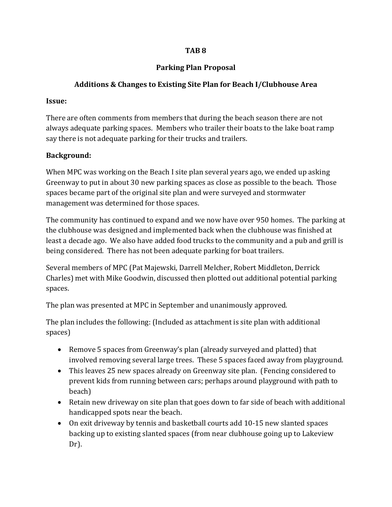### **TAB 8**

# **Parking Plan Proposal**

# **Additions & Changes to Existing Site Plan for Beach I/Clubhouse Area**

#### **Issue:**

There are often comments from members that during the beach season there are not always adequate parking spaces. Members who trailer their boats to the lake boat ramp say there is not adequate parking for their trucks and trailers.

### **Background:**

When MPC was working on the Beach I site plan several years ago, we ended up asking Greenway to put in about 30 new parking spaces as close as possible to the beach. Those spaces became part of the original site plan and were surveyed and stormwater management was determined for those spaces.

The community has continued to expand and we now have over 950 homes. The parking at the clubhouse was designed and implemented back when the clubhouse was finished at least a decade ago. We also have added food trucks to the community and a pub and grill is being considered. There has not been adequate parking for boat trailers.

Several members of MPC (Pat Majewski, Darrell Melcher, Robert Middleton, Derrick Charles) met with Mike Goodwin, discussed then plotted out additional potential parking spaces.

The plan was presented at MPC in September and unanimously approved.

The plan includes the following: (Included as attachment is site plan with additional spaces)

- Remove 5 spaces from Greenway's plan (already surveyed and platted) that involved removing several large trees. These 5 spaces faced away from playground.
- This leaves 25 new spaces already on Greenway site plan. (Fencing considered to prevent kids from running between cars; perhaps around playground with path to beach)
- Retain new driveway on site plan that goes down to far side of beach with additional handicapped spots near the beach.
- On exit driveway by tennis and basketball courts add 10-15 new slanted spaces backing up to existing slanted spaces (from near clubhouse going up to Lakeview Dr).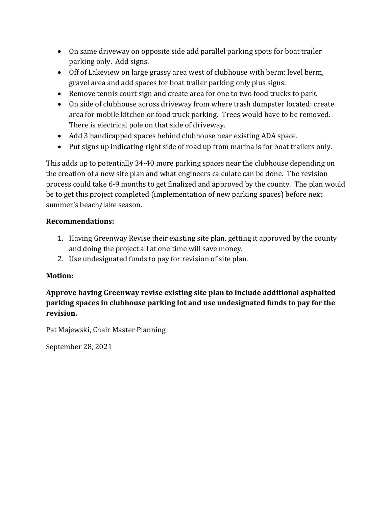- On same driveway on opposite side add parallel parking spots for boat trailer parking only. Add signs.
- Off of Lakeview on large grassy area west of clubhouse with berm: level berm, gravel area and add spaces for boat trailer parking only plus signs.
- Remove tennis court sign and create area for one to two food trucks to park.
- On side of clubhouse across driveway from where trash dumpster located: create area for mobile kitchen or food truck parking. Trees would have to be removed. There is electrical pole on that side of driveway.
- Add 3 handicapped spaces behind clubhouse near existing ADA space.
- Put signs up indicating right side of road up from marina is for boat trailers only.

This adds up to potentially 34-40 more parking spaces near the clubhouse depending on the creation of a new site plan and what engineers calculate can be done. The revision process could take 6-9 months to get finalized and approved by the county. The plan would be to get this project completed (implementation of new parking spaces) before next summer's beach/lake season.

### **Recommendations:**

- 1. Having Greenway Revise their existing site plan, getting it approved by the county and doing the project all at one time will save money.
- 2. Use undesignated funds to pay for revision of site plan.

# **Motion:**

**Approve having Greenway revise existing site plan to include additional asphalted parking spaces in clubhouse parking lot and use undesignated funds to pay for the revision.**

Pat Majewski, Chair Master Planning

September 28, 2021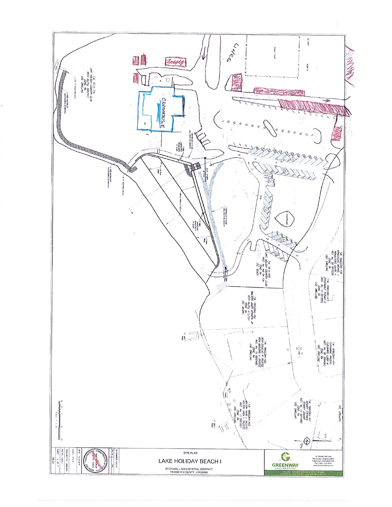